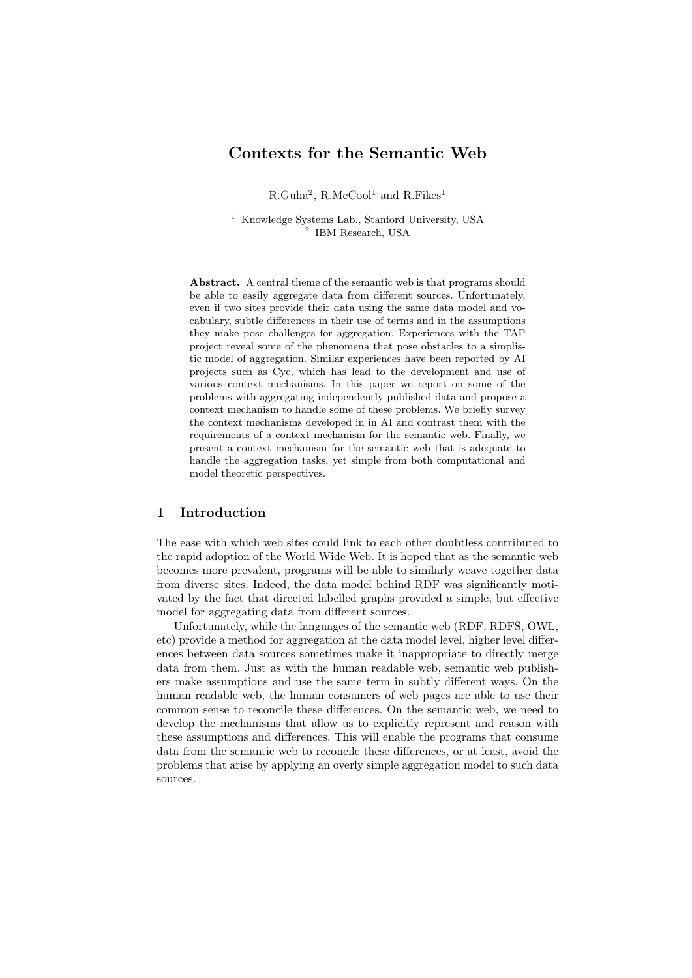# Contexts for the Semantic Web

R.Guha<sup>2</sup>, R.McCool<sup>1</sup> and R.Fikes<sup>1</sup>

<sup>1</sup> Knowledge Systems Lab., Stanford University, USA 2 IBM Research, USA

Abstract. A central theme of the semantic web is that programs should be able to easily aggregate data from different sources. Unfortunately, even if two sites provide their data using the same data model and vocabulary, subtle differences in their use of terms and in the assumptions they make pose challenges for aggregation. Experiences with the TAP project reveal some of the phenomena that pose obstacles to a simplistic model of aggregation. Similar experiences have been reported by AI projects such as Cyc, which has lead to the development and use of various context mechanisms. In this paper we report on some of the problems with aggregating independently published data and propose a context mechanism to handle some of these problems. We briefly survey the context mechanisms developed in in AI and contrast them with the requirements of a context mechanism for the semantic web. Finally, we present a context mechanism for the semantic web that is adequate to handle the aggregation tasks, yet simple from both computational and model theoretic perspectives.

#### 1 Introduction

The ease with which web sites could link to each other doubtless contributed to the rapid adoption of the World Wide Web. It is hoped that as the semantic web becomes more prevalent, programs will be able to similarly weave together data from diverse sites. Indeed, the data model behind RDF was significantly motivated by the fact that directed labelled graphs provided a simple, but effective model for aggregating data from different sources.

Unfortunately, while the languages of the semantic web (RDF, RDFS, OWL, etc) provide a method for aggregation at the data model level, higher level differences between data sources sometimes make it inappropriate to directly merge data from them. Just as with the human readable web, semantic web publishers make assumptions and use the same term in subtly different ways. On the human readable web, the human consumers of web pages are able to use their common sense to reconcile these differences. On the semantic web, we need to develop the mechanisms that allow us to explicitly represent and reason with these assumptions and differences. This will enable the programs that consume data from the semantic web to reconcile these differences, or at least, avoid the problems that arise by applying an overly simple aggregation model to such data sources.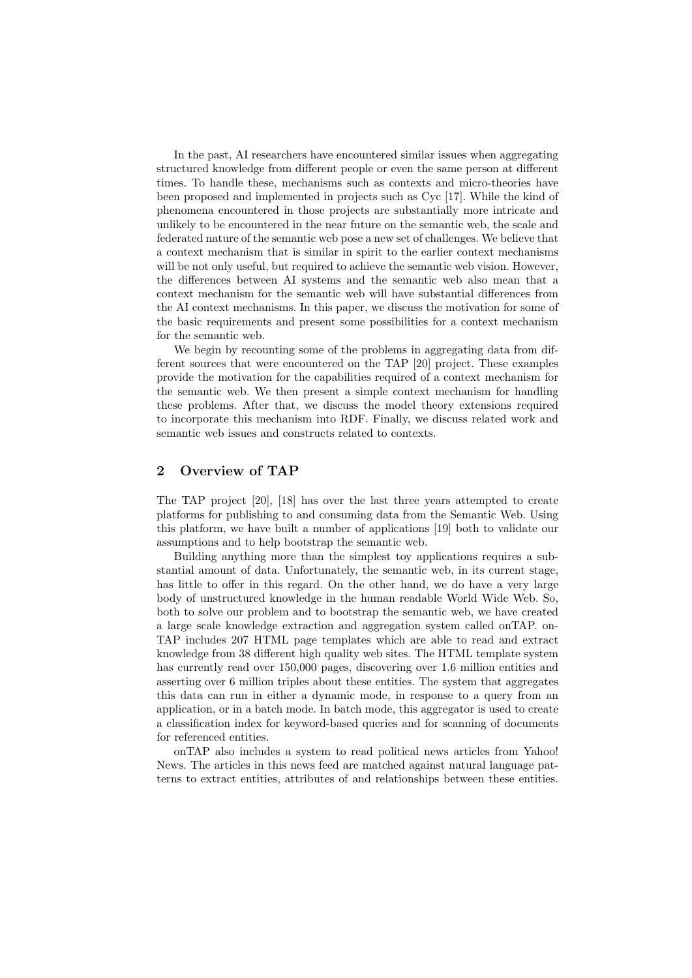In the past, AI researchers have encountered similar issues when aggregating structured knowledge from different people or even the same person at different times. To handle these, mechanisms such as contexts and micro-theories have been proposed and implemented in projects such as Cyc [17]. While the kind of phenomena encountered in those projects are substantially more intricate and unlikely to be encountered in the near future on the semantic web, the scale and federated nature of the semantic web pose a new set of challenges. We believe that a context mechanism that is similar in spirit to the earlier context mechanisms will be not only useful, but required to achieve the semantic web vision. However, the differences between AI systems and the semantic web also mean that a context mechanism for the semantic web will have substantial differences from the AI context mechanisms. In this paper, we discuss the motivation for some of the basic requirements and present some possibilities for a context mechanism for the semantic web.

We begin by recounting some of the problems in aggregating data from different sources that were encountered on the TAP [20] project. These examples provide the motivation for the capabilities required of a context mechanism for the semantic web. We then present a simple context mechanism for handling these problems. After that, we discuss the model theory extensions required to incorporate this mechanism into RDF. Finally, we discuss related work and semantic web issues and constructs related to contexts.

# 2 Overview of TAP

The TAP project [20], [18] has over the last three years attempted to create platforms for publishing to and consuming data from the Semantic Web. Using this platform, we have built a number of applications [19] both to validate our assumptions and to help bootstrap the semantic web.

Building anything more than the simplest toy applications requires a substantial amount of data. Unfortunately, the semantic web, in its current stage, has little to offer in this regard. On the other hand, we do have a very large body of unstructured knowledge in the human readable World Wide Web. So, both to solve our problem and to bootstrap the semantic web, we have created a large scale knowledge extraction and aggregation system called onTAP. on-TAP includes 207 HTML page templates which are able to read and extract knowledge from 38 different high quality web sites. The HTML template system has currently read over 150,000 pages, discovering over 1.6 million entities and asserting over 6 million triples about these entities. The system that aggregates this data can run in either a dynamic mode, in response to a query from an application, or in a batch mode. In batch mode, this aggregator is used to create a classification index for keyword-based queries and for scanning of documents for referenced entities.

onTAP also includes a system to read political news articles from Yahoo! News. The articles in this news feed are matched against natural language patterns to extract entities, attributes of and relationships between these entities.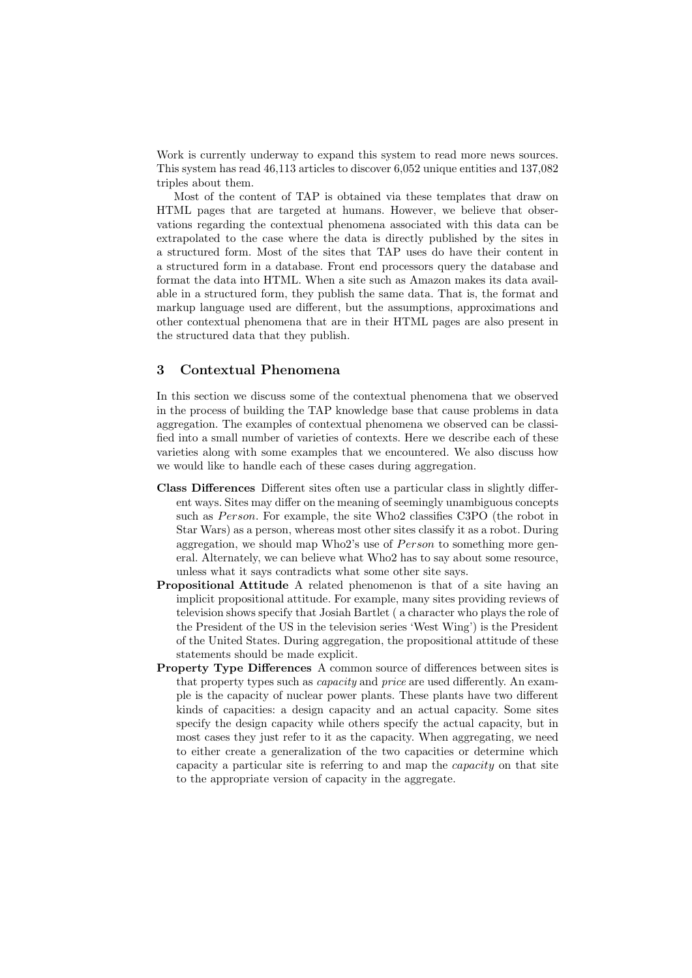Work is currently underway to expand this system to read more news sources. This system has read 46,113 articles to discover 6,052 unique entities and 137,082 triples about them.

Most of the content of TAP is obtained via these templates that draw on HTML pages that are targeted at humans. However, we believe that observations regarding the contextual phenomena associated with this data can be extrapolated to the case where the data is directly published by the sites in a structured form. Most of the sites that TAP uses do have their content in a structured form in a database. Front end processors query the database and format the data into HTML. When a site such as Amazon makes its data available in a structured form, they publish the same data. That is, the format and markup language used are different, but the assumptions, approximations and other contextual phenomena that are in their HTML pages are also present in the structured data that they publish.

# 3 Contextual Phenomena

In this section we discuss some of the contextual phenomena that we observed in the process of building the TAP knowledge base that cause problems in data aggregation. The examples of contextual phenomena we observed can be classified into a small number of varieties of contexts. Here we describe each of these varieties along with some examples that we encountered. We also discuss how we would like to handle each of these cases during aggregation.

- Class Differences Different sites often use a particular class in slightly different ways. Sites may differ on the meaning of seemingly unambiguous concepts such as Person. For example, the site Who2 classifies C3PO (the robot in Star Wars) as a person, whereas most other sites classify it as a robot. During aggregation, we should map  $Who2$ 's use of  $Person$  to something more general. Alternately, we can believe what Who2 has to say about some resource, unless what it says contradicts what some other site says.
- Propositional Attitude A related phenomenon is that of a site having an implicit propositional attitude. For example, many sites providing reviews of television shows specify that Josiah Bartlet ( a character who plays the role of the President of the US in the television series 'West Wing') is the President of the United States. During aggregation, the propositional attitude of these statements should be made explicit.
- Property Type Differences A common source of differences between sites is that property types such as capacity and price are used differently. An example is the capacity of nuclear power plants. These plants have two different kinds of capacities: a design capacity and an actual capacity. Some sites specify the design capacity while others specify the actual capacity, but in most cases they just refer to it as the capacity. When aggregating, we need to either create a generalization of the two capacities or determine which capacity a particular site is referring to and map the capacity on that site to the appropriate version of capacity in the aggregate.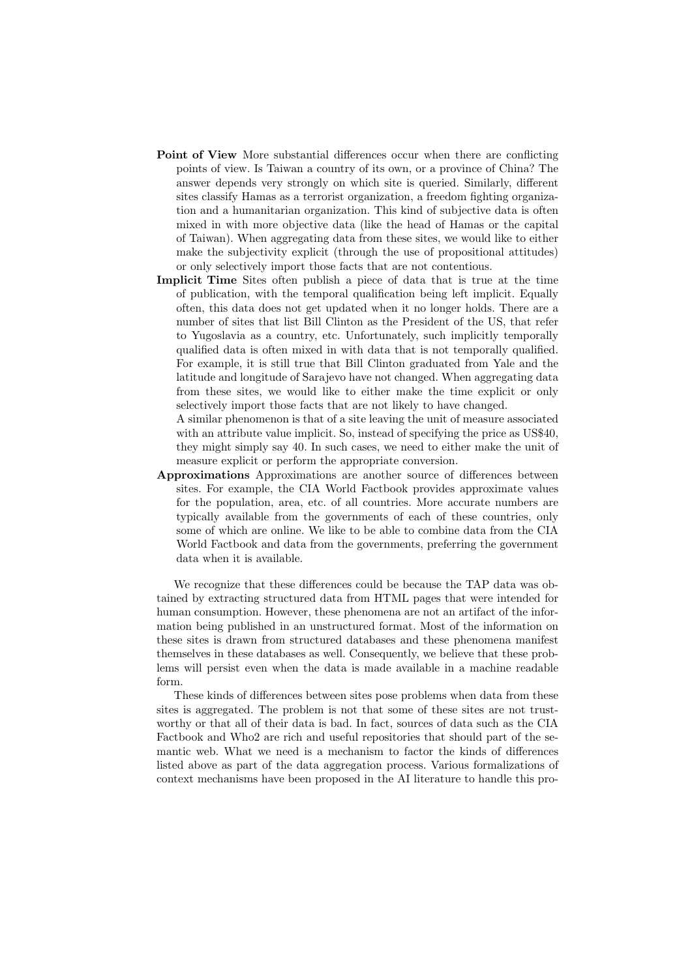- Point of View More substantial differences occur when there are conflicting points of view. Is Taiwan a country of its own, or a province of China? The answer depends very strongly on which site is queried. Similarly, different sites classify Hamas as a terrorist organization, a freedom fighting organization and a humanitarian organization. This kind of subjective data is often mixed in with more objective data (like the head of Hamas or the capital of Taiwan). When aggregating data from these sites, we would like to either make the subjectivity explicit (through the use of propositional attitudes) or only selectively import those facts that are not contentious.
- Implicit Time Sites often publish a piece of data that is true at the time of publication, with the temporal qualification being left implicit. Equally often, this data does not get updated when it no longer holds. There are a number of sites that list Bill Clinton as the President of the US, that refer to Yugoslavia as a country, etc. Unfortunately, such implicitly temporally qualified data is often mixed in with data that is not temporally qualified. For example, it is still true that Bill Clinton graduated from Yale and the latitude and longitude of Sarajevo have not changed. When aggregating data from these sites, we would like to either make the time explicit or only selectively import those facts that are not likely to have changed.

A similar phenomenon is that of a site leaving the unit of measure associated with an attribute value implicit. So, instead of specifying the price as US\$40, they might simply say 40. In such cases, we need to either make the unit of measure explicit or perform the appropriate conversion.

Approximations Approximations are another source of differences between sites. For example, the CIA World Factbook provides approximate values for the population, area, etc. of all countries. More accurate numbers are typically available from the governments of each of these countries, only some of which are online. We like to be able to combine data from the CIA World Factbook and data from the governments, preferring the government data when it is available.

We recognize that these differences could be because the TAP data was obtained by extracting structured data from HTML pages that were intended for human consumption. However, these phenomena are not an artifact of the information being published in an unstructured format. Most of the information on these sites is drawn from structured databases and these phenomena manifest themselves in these databases as well. Consequently, we believe that these problems will persist even when the data is made available in a machine readable form.

These kinds of differences between sites pose problems when data from these sites is aggregated. The problem is not that some of these sites are not trustworthy or that all of their data is bad. In fact, sources of data such as the CIA Factbook and Who2 are rich and useful repositories that should part of the semantic web. What we need is a mechanism to factor the kinds of differences listed above as part of the data aggregation process. Various formalizations of context mechanisms have been proposed in the AI literature to handle this pro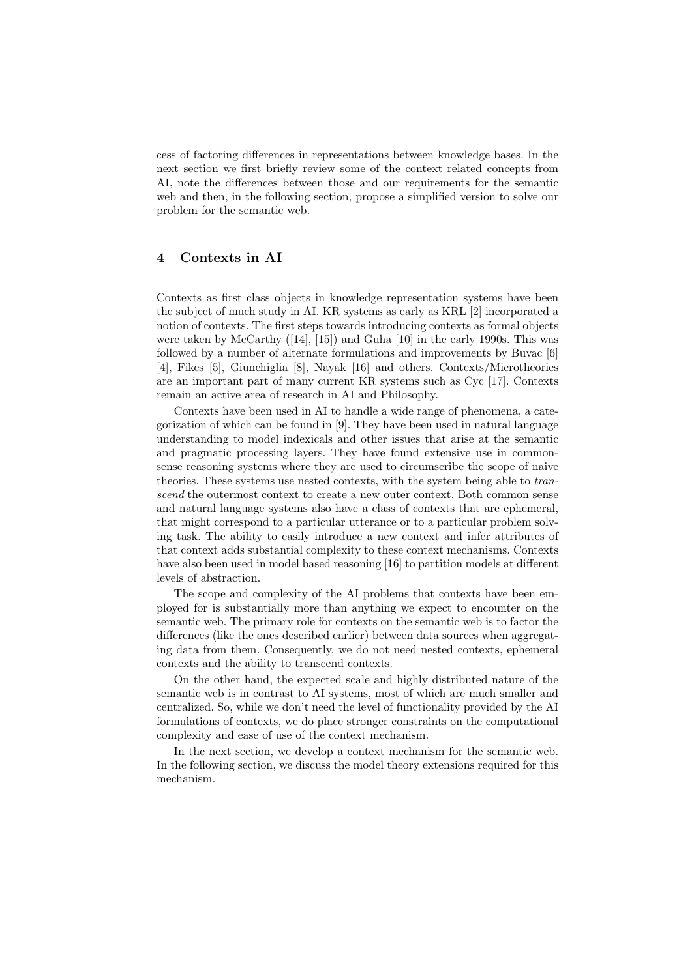cess of factoring differences in representations between knowledge bases. In the next section we first briefly review some of the context related concepts from AI, note the differences between those and our requirements for the semantic web and then, in the following section, propose a simplified version to solve our problem for the semantic web.

#### 4 Contexts in AI

Contexts as first class objects in knowledge representation systems have been the subject of much study in AI. KR systems as early as KRL [2] incorporated a notion of contexts. The first steps towards introducing contexts as formal objects were taken by McCarthy ([14], [15]) and Guha [10] in the early 1990s. This was followed by a number of alternate formulations and improvements by Buvac [6] [4], Fikes [5], Giunchiglia [8], Nayak [16] and others. Contexts/Microtheories are an important part of many current KR systems such as Cyc [17]. Contexts remain an active area of research in AI and Philosophy.

Contexts have been used in AI to handle a wide range of phenomena, a categorization of which can be found in [9]. They have been used in natural language understanding to model indexicals and other issues that arise at the semantic and pragmatic processing layers. They have found extensive use in commonsense reasoning systems where they are used to circumscribe the scope of naive theories. These systems use nested contexts, with the system being able to transcend the outermost context to create a new outer context. Both common sense and natural language systems also have a class of contexts that are ephemeral, that might correspond to a particular utterance or to a particular problem solving task. The ability to easily introduce a new context and infer attributes of that context adds substantial complexity to these context mechanisms. Contexts have also been used in model based reasoning [16] to partition models at different levels of abstraction.

The scope and complexity of the AI problems that contexts have been employed for is substantially more than anything we expect to encounter on the semantic web. The primary role for contexts on the semantic web is to factor the differences (like the ones described earlier) between data sources when aggregating data from them. Consequently, we do not need nested contexts, ephemeral contexts and the ability to transcend contexts.

On the other hand, the expected scale and highly distributed nature of the semantic web is in contrast to AI systems, most of which are much smaller and centralized. So, while we don't need the level of functionality provided by the AI formulations of contexts, we do place stronger constraints on the computational complexity and ease of use of the context mechanism.

In the next section, we develop a context mechanism for the semantic web. In the following section, we discuss the model theory extensions required for this mechanism.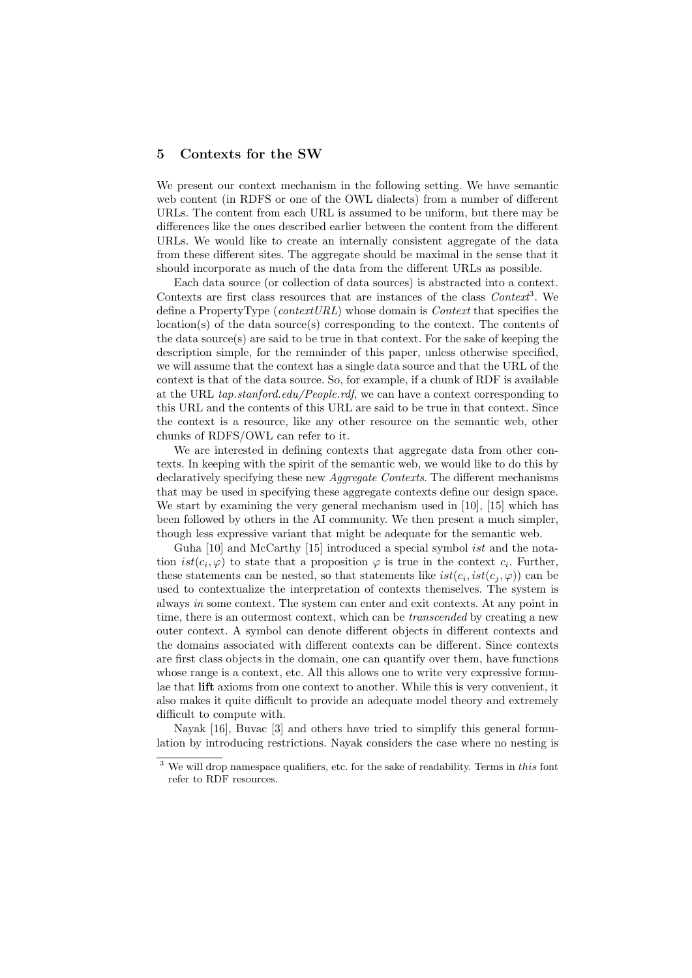#### 5 Contexts for the SW

We present our context mechanism in the following setting. We have semantic web content (in RDFS or one of the OWL dialects) from a number of different URLs. The content from each URL is assumed to be uniform, but there may be differences like the ones described earlier between the content from the different URLs. We would like to create an internally consistent aggregate of the data from these different sites. The aggregate should be maximal in the sense that it should incorporate as much of the data from the different URLs as possible.

Each data source (or collection of data sources) is abstracted into a context. Contexts are first class resources that are instances of the class  $Context^3$ . We define a PropertyType (contextURL) whose domain is Context that specifies the location(s) of the data source(s) corresponding to the context. The contents of the data source(s) are said to be true in that context. For the sake of keeping the description simple, for the remainder of this paper, unless otherwise specified, we will assume that the context has a single data source and that the URL of the context is that of the data source. So, for example, if a chunk of RDF is available at the URL tap.stanford.edu/People.rdf, we can have a context corresponding to this URL and the contents of this URL are said to be true in that context. Since the context is a resource, like any other resource on the semantic web, other chunks of RDFS/OWL can refer to it.

We are interested in defining contexts that aggregate data from other contexts. In keeping with the spirit of the semantic web, we would like to do this by declaratively specifying these new Aggregate Contexts. The different mechanisms that may be used in specifying these aggregate contexts define our design space. We start by examining the very general mechanism used in [10], [15] which has been followed by others in the AI community. We then present a much simpler, though less expressive variant that might be adequate for the semantic web.

Guha [10] and McCarthy [15] introduced a special symbol *ist* and the notation  $ist(c_i, \varphi)$  to state that a proposition  $\varphi$  is true in the context  $c_i$ . Further, these statements can be nested, so that statements like  $ist(c_i, ist(c_j, \varphi))$  can be used to contextualize the interpretation of contexts themselves. The system is always in some context. The system can enter and exit contexts. At any point in time, there is an outermost context, which can be *transcended* by creating a new outer context. A symbol can denote different objects in different contexts and the domains associated with different contexts can be different. Since contexts are first class objects in the domain, one can quantify over them, have functions whose range is a context, etc. All this allows one to write very expressive formulae that lift axioms from one context to another. While this is very convenient, it also makes it quite difficult to provide an adequate model theory and extremely difficult to compute with.

Nayak [16], Buvac [3] and others have tried to simplify this general formulation by introducing restrictions. Nayak considers the case where no nesting is

 $3$  We will drop namespace qualifiers, etc. for the sake of readability. Terms in this font refer to RDF resources.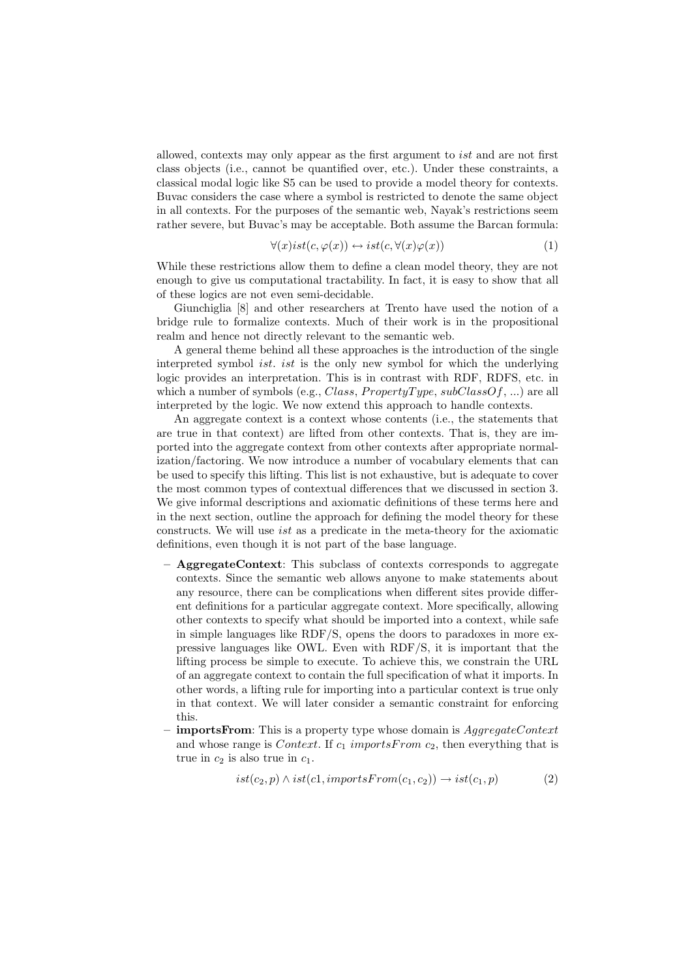allowed, contexts may only appear as the first argument to ist and are not first class objects (i.e., cannot be quantified over, etc.). Under these constraints, a classical modal logic like S5 can be used to provide a model theory for contexts. Buvac considers the case where a symbol is restricted to denote the same object in all contexts. For the purposes of the semantic web, Nayak's restrictions seem rather severe, but Buvac's may be acceptable. Both assume the Barcan formula:

$$
\forall (x) \text{ist}(c, \varphi(x)) \leftrightarrow \text{ist}(c, \forall (x) \varphi(x)) \tag{1}
$$

While these restrictions allow them to define a clean model theory, they are not enough to give us computational tractability. In fact, it is easy to show that all of these logics are not even semi-decidable.

Giunchiglia [8] and other researchers at Trento have used the notion of a bridge rule to formalize contexts. Much of their work is in the propositional realm and hence not directly relevant to the semantic web.

A general theme behind all these approaches is the introduction of the single interpreted symbol ist. ist is the only new symbol for which the underlying logic provides an interpretation. This is in contrast with RDF, RDFS, etc. in which a number of symbols (e.g., Class, PropertyType, subClassOf, ...) are all interpreted by the logic. We now extend this approach to handle contexts.

An aggregate context is a context whose contents (i.e., the statements that are true in that context) are lifted from other contexts. That is, they are imported into the aggregate context from other contexts after appropriate normalization/factoring. We now introduce a number of vocabulary elements that can be used to specify this lifting. This list is not exhaustive, but is adequate to cover the most common types of contextual differences that we discussed in section 3. We give informal descriptions and axiomatic definitions of these terms here and in the next section, outline the approach for defining the model theory for these constructs. We will use ist as a predicate in the meta-theory for the axiomatic definitions, even though it is not part of the base language.

- AggregateContext: This subclass of contexts corresponds to aggregate contexts. Since the semantic web allows anyone to make statements about any resource, there can be complications when different sites provide different definitions for a particular aggregate context. More specifically, allowing other contexts to specify what should be imported into a context, while safe in simple languages like RDF/S, opens the doors to paradoxes in more expressive languages like OWL. Even with RDF/S, it is important that the lifting process be simple to execute. To achieve this, we constrain the URL of an aggregate context to contain the full specification of what it imports. In other words, a lifting rule for importing into a particular context is true only in that context. We will later consider a semantic constraint for enforcing this.
- **importsFrom:** This is a property type whose domain is  $AggregateContext$ and whose range is *Context*. If  $c_1$  *importsFrom*  $c_2$ , then everything that is true in  $c_2$  is also true in  $c_1$ .

$$
ist(c_2, p) \land ist(c1, importsFrom(c_1, c_2)) \rightarrow ist(c_1, p) \tag{2}
$$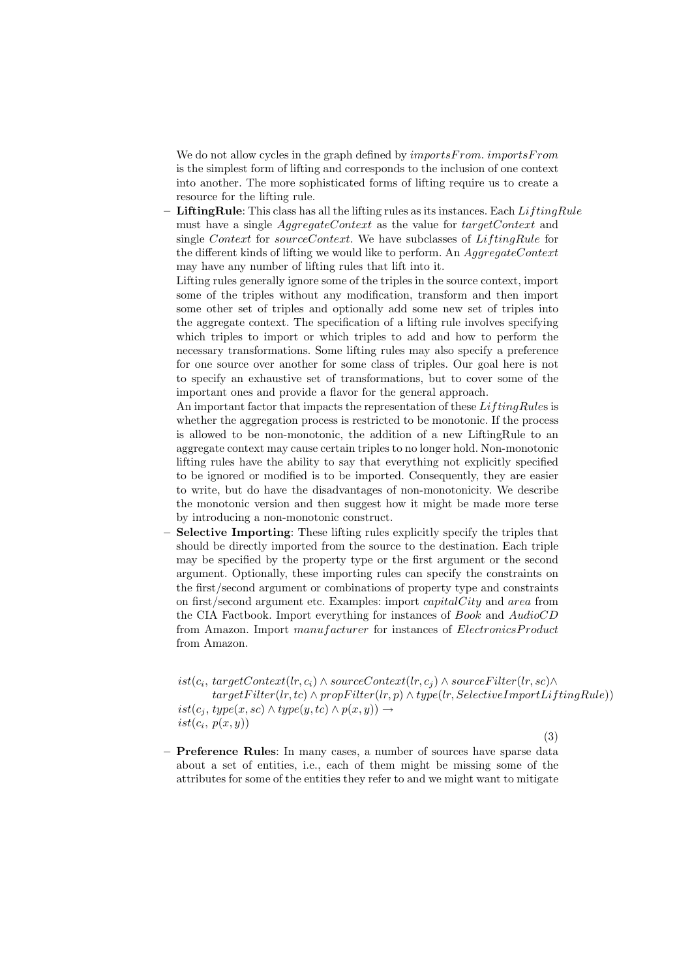We do not allow cycles in the graph defined by  $importsFrom$ .  $importsFrom$ is the simplest form of lifting and corresponds to the inclusion of one context into another. The more sophisticated forms of lifting require us to create a resource for the lifting rule.

**LiftingRule:** This class has all the lifting rules as its instances. Each  $LiftingRule$ must have a single AggregateContext as the value for targetContext and single Context for sourceContext. We have subclasses of  $LiftingRule$  for the different kinds of lifting we would like to perform. An AggregateContext may have any number of lifting rules that lift into it.

Lifting rules generally ignore some of the triples in the source context, import some of the triples without any modification, transform and then import some other set of triples and optionally add some new set of triples into the aggregate context. The specification of a lifting rule involves specifying which triples to import or which triples to add and how to perform the necessary transformations. Some lifting rules may also specify a preference for one source over another for some class of triples. Our goal here is not to specify an exhaustive set of transformations, but to cover some of the important ones and provide a flavor for the general approach.

An important factor that impacts the representation of these  $LiftingRules$  is whether the aggregation process is restricted to be monotonic. If the process is allowed to be non-monotonic, the addition of a new LiftingRule to an aggregate context may cause certain triples to no longer hold. Non-monotonic lifting rules have the ability to say that everything not explicitly specified to be ignored or modified is to be imported. Consequently, they are easier to write, but do have the disadvantages of non-monotonicity. We describe the monotonic version and then suggest how it might be made more terse by introducing a non-monotonic construct.

– Selective Importing: These lifting rules explicitly specify the triples that should be directly imported from the source to the destination. Each triple may be specified by the property type or the first argument or the second argument. Optionally, these importing rules can specify the constraints on the first/second argument or combinations of property type and constraints on first/second argument etc. Examples: import capitalCity and area from the CIA Factbook. Import everything for instances of Book and AudioCD from Amazon. Import manufacturer for instances of ElectronicsProduct from Amazon.

 $\textit{ist}(c_i, \textit{targetContext}(lr, c_i) \land \textit{sourceContext}(lr, c_j) \land \textit{sourceFilter}(lr, sc) \land$  $targetFilter(lr, tc) \wedge propFilter(lr, p) \wedge type(lr, SelectiveImportLiftingRule))$  $ist(c_j, type(x, sc) \wedge type(y, tc) \wedge p(x, y))$  →  $ist(c_i, p(x,y))$ 

- (3)
- Preference Rules: In many cases, a number of sources have sparse data about a set of entities, i.e., each of them might be missing some of the attributes for some of the entities they refer to and we might want to mitigate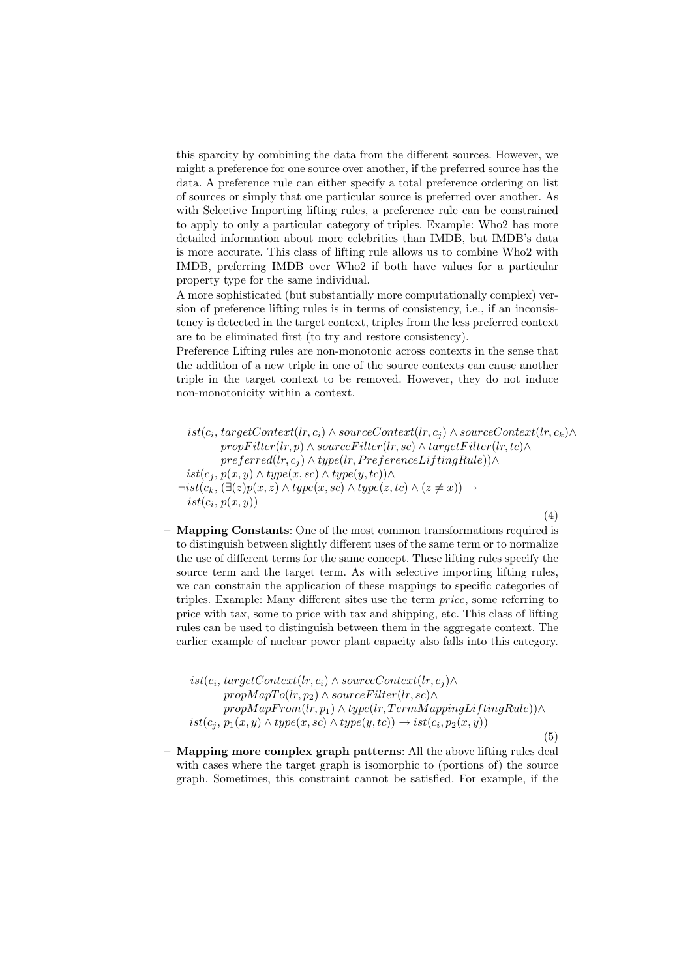this sparcity by combining the data from the different sources. However, we might a preference for one source over another, if the preferred source has the data. A preference rule can either specify a total preference ordering on list of sources or simply that one particular source is preferred over another. As with Selective Importing lifting rules, a preference rule can be constrained to apply to only a particular category of triples. Example: Who2 has more detailed information about more celebrities than IMDB, but IMDB's data is more accurate. This class of lifting rule allows us to combine Who2 with IMDB, preferring IMDB over Who2 if both have values for a particular property type for the same individual.

A more sophisticated (but substantially more computationally complex) version of preference lifting rules is in terms of consistency, i.e., if an inconsistency is detected in the target context, triples from the less preferred context are to be eliminated first (to try and restore consistency).

Preference Lifting rules are non-monotonic across contexts in the sense that the addition of a new triple in one of the source contexts can cause another triple in the target context to be removed. However, they do not induce non-monotonicity within a context.

- $\textit{ist}(c_i, \textit{targetContext}(lr, c_i) \land \textit{sourceContext}(lr, c_j) \land \textit{sourceContext}(lr, c_k) \land \textit{sourceContext}(lr, c_k) \land \textit{sourceContext}(lr, c_k) \land \textit{sourceContext}(lr, c_k) \land \textit{sourceContext}(lr, c_k) \land \textit{sourceContext}(lr, c_k) \land \textit{sourceContext}(lr, c_k) \land \textit{sourceContext}(lr, c_k) \land \textit{sourceContext}(lr, c_k) \land \textit{sourceContext}(lr, c_k) \land \textit{sourceContext}(lr, c_k) \land \textit{sourceContext}(lr, c_k) \land \textit{sourceContext}(lr, c_k) \land \$  $propFilter(lr, p) \wedge sourceFilter(lr, sc) \wedge targetFilter(lr, tc) \wedge$  $preferred(lr, c_j) \wedge type(lr, PreferenceLiftingRule)) \wedge$  $ist(c_i, p(x, y) \wedge type(x, sc) \wedge type(y, tc)) \wedge$  $\neg ist(c_k, (\exists(z)p(x, z) \land type(x, sc) \land type(z, tc) \land (z \neq x)) \rightarrow$ 
	- $ist(c_i, p(x, y))$

(4)

– Mapping Constants: One of the most common transformations required is to distinguish between slightly different uses of the same term or to normalize the use of different terms for the same concept. These lifting rules specify the source term and the target term. As with selective importing lifting rules, we can constrain the application of these mappings to specific categories of triples. Example: Many different sites use the term price, some referring to price with tax, some to price with tax and shipping, etc. This class of lifting rules can be used to distinguish between them in the aggregate context. The earlier example of nuclear power plant capacity also falls into this category.

 $ist(c_i, targetContext(lr, c_i) \land sourceContext(lr, c_j) \land$  $propMapTo(lr, p_2) \wedge sourceFilter(lr, sc) \wedge$  $propMapFrom(lr, p_1) \wedge type(lr, TermMappingLiftingRule)) \wedge$  $ist(c_j, p_1(x, y) \wedge type(x, sc) \wedge type(y, tc)) \rightarrow ist(c_i, p_2(x, y))$ (5)

– Mapping more complex graph patterns: All the above lifting rules deal with cases where the target graph is isomorphic to (portions of) the source graph. Sometimes, this constraint cannot be satisfied. For example, if the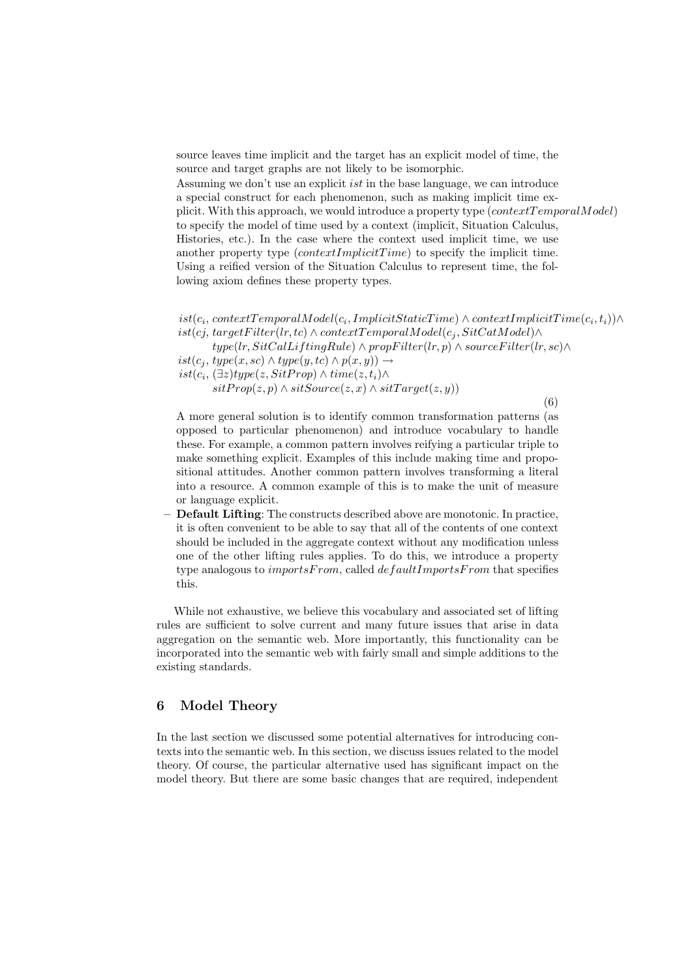source leaves time implicit and the target has an explicit model of time, the source and target graphs are not likely to be isomorphic.

Assuming we don't use an explicit ist in the base language, we can introduce a special construct for each phenomenon, such as making implicit time explicit. With this approach, we would introduce a property type  $(context Temporal Model)$ to specify the model of time used by a context (implicit, Situation Calculus, Histories, etc.). In the case where the context used implicit time, we use another property type  $(contextImplicitTime)$  to specify the implicit time. Using a reified version of the Situation Calculus to represent time, the following axiom defines these property types.

```
ist(c_i, context Temporal Model(c_i, ImplicitStaticTime) \wedge contextImplicitTime(c_i, t_i)) \wedgeist(cj, targetFilter(lr, tc) \wedge contextTemporalModel(c_j, SitCatModel) \wedge
```
 $type(lr, SitCalliftingRule) \wedge propFilter(lr, p) \wedge sourceFilter(lr, sc) \wedge$ 

 $ist(c_j, type(x, sc) \wedge type(y, tc) \wedge p(x, y)) \rightarrow$ 

 $ist(c_i, (\exists z) type(z, SitProp) \wedge time(z, t_i) \wedge$ 

 $sitProp(z, p) \wedge sitSource(z, x) \wedge sitTarget(z, y))$ 

(6)

A more general solution is to identify common transformation patterns (as opposed to particular phenomenon) and introduce vocabulary to handle these. For example, a common pattern involves reifying a particular triple to make something explicit. Examples of this include making time and propositional attitudes. Another common pattern involves transforming a literal into a resource. A common example of this is to make the unit of measure or language explicit.

– Default Lifting: The constructs described above are monotonic. In practice, it is often convenient to be able to say that all of the contents of one context should be included in the aggregate context without any modification unless one of the other lifting rules applies. To do this, we introduce a property type analogous to *importsFrom*, called  $de$  faultImportsFrom that specifies this.

While not exhaustive, we believe this vocabulary and associated set of lifting rules are sufficient to solve current and many future issues that arise in data aggregation on the semantic web. More importantly, this functionality can be incorporated into the semantic web with fairly small and simple additions to the existing standards.

#### 6 Model Theory

In the last section we discussed some potential alternatives for introducing contexts into the semantic web. In this section, we discuss issues related to the model theory. Of course, the particular alternative used has significant impact on the model theory. But there are some basic changes that are required, independent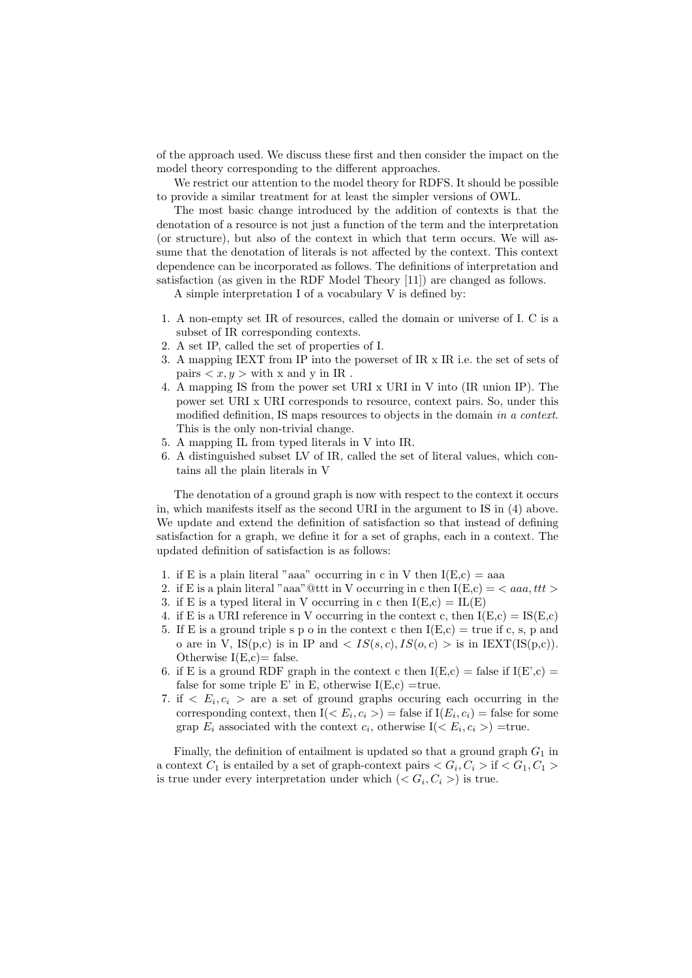of the approach used. We discuss these first and then consider the impact on the model theory corresponding to the different approaches.

We restrict our attention to the model theory for RDFS. It should be possible to provide a similar treatment for at least the simpler versions of OWL.

The most basic change introduced by the addition of contexts is that the denotation of a resource is not just a function of the term and the interpretation (or structure), but also of the context in which that term occurs. We will assume that the denotation of literals is not affected by the context. This context dependence can be incorporated as follows. The definitions of interpretation and satisfaction (as given in the RDF Model Theory [11]) are changed as follows.

A simple interpretation I of a vocabulary V is defined by:

- 1. A non-empty set IR of resources, called the domain or universe of I. C is a subset of IR corresponding contexts.
- 2. A set IP, called the set of properties of I.
- 3. A mapping IEXT from IP into the powerset of IR x IR i.e. the set of sets of pairs  $\langle x, y \rangle$  with x and y in IR.
- 4. A mapping IS from the power set URI x URI in V into (IR union IP). The power set URI x URI corresponds to resource, context pairs. So, under this modified definition, IS maps resources to objects in the domain in a context. This is the only non-trivial change.
- 5. A mapping IL from typed literals in V into IR.
- 6. A distinguished subset LV of IR, called the set of literal values, which contains all the plain literals in V

The denotation of a ground graph is now with respect to the context it occurs in, which manifests itself as the second URI in the argument to IS in (4) above. We update and extend the definition of satisfaction so that instead of defining satisfaction for a graph, we define it for a set of graphs, each in a context. The updated definition of satisfaction is as follows:

- 1. if E is a plain literal "aaa" occurring in c in V then  $I(E,c) = a$ aa
- 2. if E is a plain literal "aaa"@ttt in V occurring in c then  $I(E,c) = \langle aaa, ttt \rangle$
- 3. if E is a typed literal in V occurring in c then  $I(E,c) = IL(E)$
- 4. if E is a URI reference in V occurring in the context c, then  $I(E, c) = IS(E, c)$
- 5. If E is a ground triple s p o in the context c then  $I(E,c) = \text{true}$  if c, s, p and o are in V, IS(p,c) is in IP and  $\langle IS(s, c), IS(o, c) \rangle$  is in IEXT(IS(p,c)). Otherwise  $I(E,c)$  false.
- 6. if E is a ground RDF graph in the context c then  $I(E,c) =$  false if  $I(E',c) =$ false for some triple E' in E, otherwise  $I(E,c)$  =true.
- 7. if  $\langle E_i, c_i \rangle$  are a set of ground graphs occurring each occurring in the corresponding context, then  $I(< E_i, c_i>)$  = false if  $I(E_i, c_i)$  = false for some grap  $E_i$  associated with the context  $c_i$ , otherwise  $I(< E_i, c_i>)$  =true.

Finally, the definition of entailment is updated so that a ground graph  $G_1$  in a context  $C_1$  is entailed by a set of graph-context pairs  $\langle G_i, C_i \rangle$  if  $\langle G_1, C_1 \rangle$ is true under every interpretation under which  $(*G<sub>i</sub>*, *C<sub>i</sub>*>)$  is true.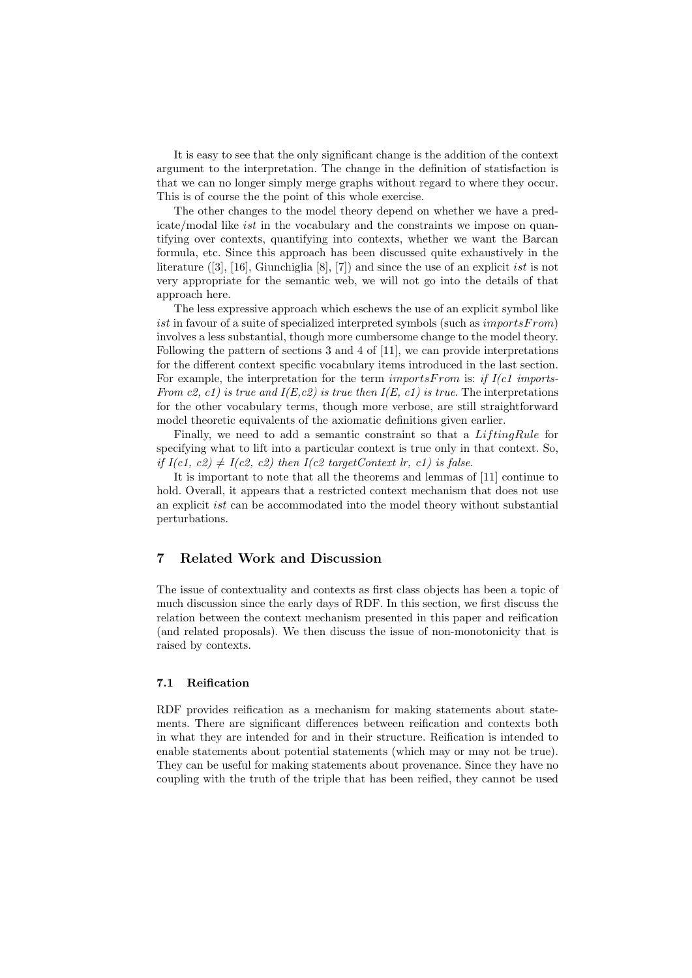It is easy to see that the only significant change is the addition of the context argument to the interpretation. The change in the definition of statisfaction is that we can no longer simply merge graphs without regard to where they occur. This is of course the the point of this whole exercise.

The other changes to the model theory depend on whether we have a predicate/modal like ist in the vocabulary and the constraints we impose on quantifying over contexts, quantifying into contexts, whether we want the Barcan formula, etc. Since this approach has been discussed quite exhaustively in the literature  $([3], [16],$  Giunchiglia  $[8], [7]$  and since the use of an explicit *ist* is not very appropriate for the semantic web, we will not go into the details of that approach here.

The less expressive approach which eschews the use of an explicit symbol like ist in favour of a suite of specialized interpreted symbols (such as  $importsFrom$ ) involves a less substantial, though more cumbersome change to the model theory. Following the pattern of sections 3 and 4 of [11], we can provide interpretations for the different context specific vocabulary items introduced in the last section. For example, the interpretation for the term *importsFrom* is: if  $I(c1$  imports-From c2, c1) is true and  $I(E,c2)$  is true then  $I(E, c1)$  is true. The interpretations for the other vocabulary terms, though more verbose, are still straightforward model theoretic equivalents of the axiomatic definitions given earlier.

Finally, we need to add a semantic constraint so that a  $LiftingRule$  for specifying what to lift into a particular context is true only in that context. So, if  $I(c1, c2) \neq I(c2, c2)$  then  $I(c2$  targetContext lr, c1) is false.

It is important to note that all the theorems and lemmas of [11] continue to hold. Overall, it appears that a restricted context mechanism that does not use an explicit ist can be accommodated into the model theory without substantial perturbations.

# 7 Related Work and Discussion

The issue of contextuality and contexts as first class objects has been a topic of much discussion since the early days of RDF. In this section, we first discuss the relation between the context mechanism presented in this paper and reification (and related proposals). We then discuss the issue of non-monotonicity that is raised by contexts.

#### 7.1 Reification

RDF provides reification as a mechanism for making statements about statements. There are significant differences between reification and contexts both in what they are intended for and in their structure. Reification is intended to enable statements about potential statements (which may or may not be true). They can be useful for making statements about provenance. Since they have no coupling with the truth of the triple that has been reified, they cannot be used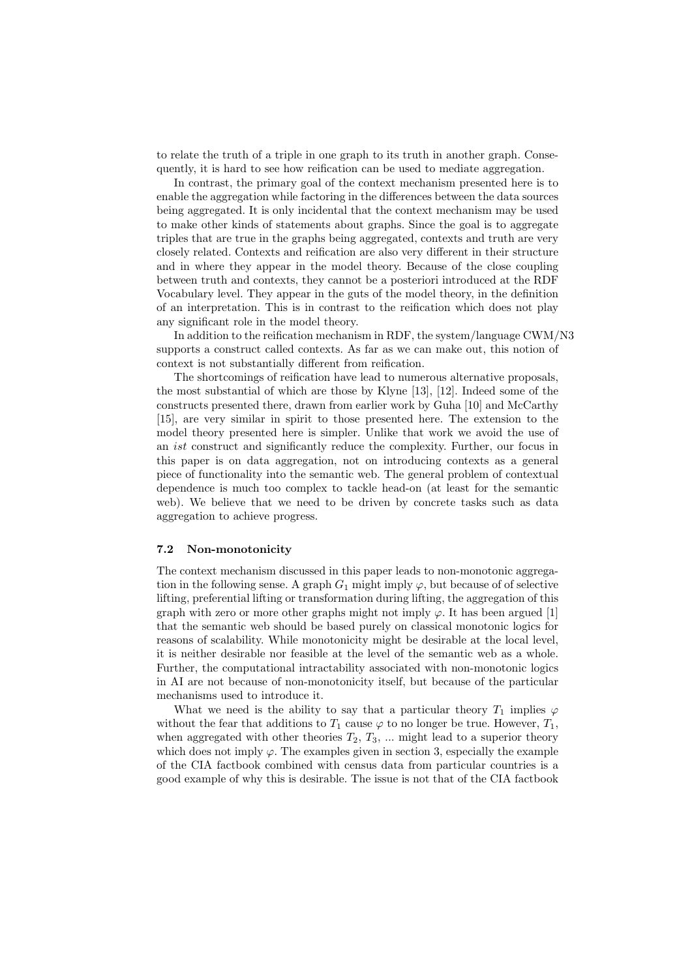to relate the truth of a triple in one graph to its truth in another graph. Consequently, it is hard to see how reification can be used to mediate aggregation.

In contrast, the primary goal of the context mechanism presented here is to enable the aggregation while factoring in the differences between the data sources being aggregated. It is only incidental that the context mechanism may be used to make other kinds of statements about graphs. Since the goal is to aggregate triples that are true in the graphs being aggregated, contexts and truth are very closely related. Contexts and reification are also very different in their structure and in where they appear in the model theory. Because of the close coupling between truth and contexts, they cannot be a posteriori introduced at the RDF Vocabulary level. They appear in the guts of the model theory, in the definition of an interpretation. This is in contrast to the reification which does not play any significant role in the model theory.

In addition to the reification mechanism in RDF, the system/language CWM/N3 supports a construct called contexts. As far as we can make out, this notion of context is not substantially different from reification.

The shortcomings of reification have lead to numerous alternative proposals, the most substantial of which are those by Klyne [13], [12]. Indeed some of the constructs presented there, drawn from earlier work by Guha [10] and McCarthy [15], are very similar in spirit to those presented here. The extension to the model theory presented here is simpler. Unlike that work we avoid the use of an ist construct and significantly reduce the complexity. Further, our focus in this paper is on data aggregation, not on introducing contexts as a general piece of functionality into the semantic web. The general problem of contextual dependence is much too complex to tackle head-on (at least for the semantic web). We believe that we need to be driven by concrete tasks such as data aggregation to achieve progress.

#### 7.2 Non-monotonicity

The context mechanism discussed in this paper leads to non-monotonic aggregation in the following sense. A graph  $G_1$  might imply  $\varphi$ , but because of of selective lifting, preferential lifting or transformation during lifting, the aggregation of this graph with zero or more other graphs might not imply  $\varphi$ . It has been argued [1] that the semantic web should be based purely on classical monotonic logics for reasons of scalability. While monotonicity might be desirable at the local level, it is neither desirable nor feasible at the level of the semantic web as a whole. Further, the computational intractability associated with non-monotonic logics in AI are not because of non-monotonicity itself, but because of the particular mechanisms used to introduce it.

What we need is the ability to say that a particular theory  $T_1$  implies  $\varphi$ without the fear that additions to  $T_1$  cause  $\varphi$  to no longer be true. However,  $T_1$ , when aggregated with other theories  $T_2, T_3, \ldots$  might lead to a superior theory which does not imply  $\varphi$ . The examples given in section 3, especially the example of the CIA factbook combined with census data from particular countries is a good example of why this is desirable. The issue is not that of the CIA factbook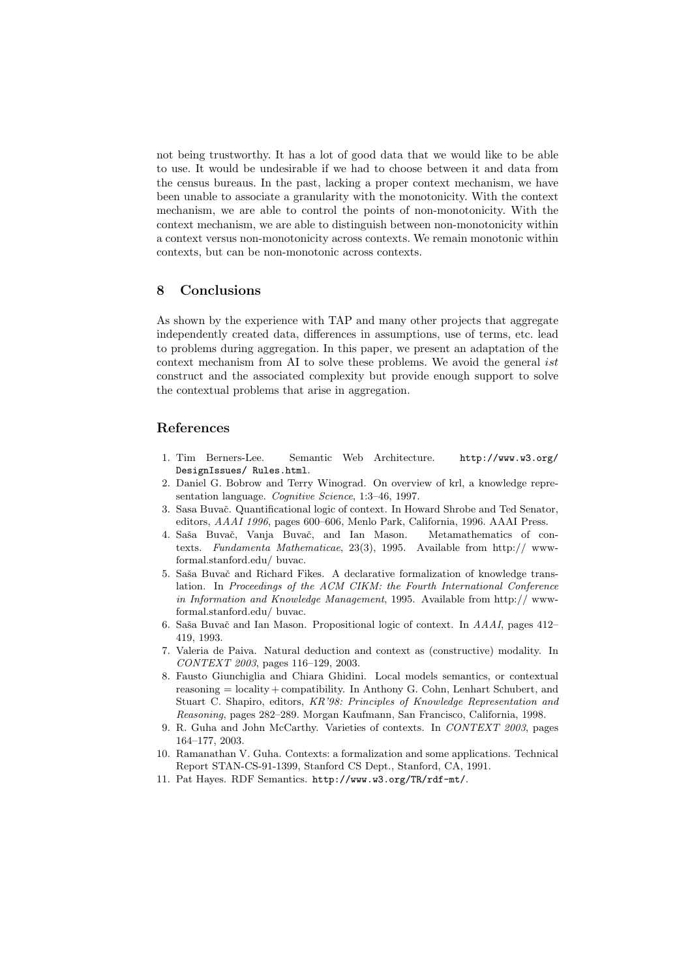not being trustworthy. It has a lot of good data that we would like to be able to use. It would be undesirable if we had to choose between it and data from the census bureaus. In the past, lacking a proper context mechanism, we have been unable to associate a granularity with the monotonicity. With the context mechanism, we are able to control the points of non-monotonicity. With the context mechanism, we are able to distinguish between non-monotonicity within a context versus non-monotonicity across contexts. We remain monotonic within contexts, but can be non-monotonic across contexts.

# 8 Conclusions

As shown by the experience with TAP and many other projects that aggregate independently created data, differences in assumptions, use of terms, etc. lead to problems during aggregation. In this paper, we present an adaptation of the context mechanism from AI to solve these problems. We avoid the general *ist* construct and the associated complexity but provide enough support to solve the contextual problems that arise in aggregation.

# References

- 1. Tim Berners-Lee. Semantic Web Architecture. http://www.w3.org/ DesignIssues/ Rules.html.
- 2. Daniel G. Bobrow and Terry Winograd. On overview of krl, a knowledge representation language. Cognitive Science, 1:3–46, 1997.
- 3. Sasa Buvaˇc. Quantificational logic of context. In Howard Shrobe and Ted Senator, editors, AAAI 1996, pages 600–606, Menlo Park, California, 1996. AAAI Press.
- 4. Saša Buvač, Vanja Buvač, and Ian Mason. Metamathematics of contexts. Fundamenta Mathematicae, 23(3), 1995. Available from http:// wwwformal.stanford.edu/ buvac.
- 5. Saša Buvač and Richard Fikes. A declarative formalization of knowledge translation. In Proceedings of the ACM CIKM: the Fourth International Conference in Information and Knowledge Management, 1995. Available from http:// wwwformal.stanford.edu/ buvac.
- 6. Saša Buvač and Ian Mason. Propositional logic of context. In  $A A A I$ , pages 412– 419, 1993.
- 7. Valeria de Paiva. Natural deduction and context as (constructive) modality. In CONTEXT 2003, pages 116–129, 2003.
- 8. Fausto Giunchiglia and Chiara Ghidini. Local models semantics, or contextual reasoning = locality + compatibility. In Anthony G. Cohn, Lenhart Schubert, and Stuart C. Shapiro, editors, KR'98: Principles of Knowledge Representation and Reasoning, pages 282–289. Morgan Kaufmann, San Francisco, California, 1998.
- 9. R. Guha and John McCarthy. Varieties of contexts. In CONTEXT 2003, pages 164–177, 2003.
- 10. Ramanathan V. Guha. Contexts: a formalization and some applications. Technical Report STAN-CS-91-1399, Stanford CS Dept., Stanford, CA, 1991.
- 11. Pat Hayes. RDF Semantics. http://www.w3.org/TR/rdf-mt/.